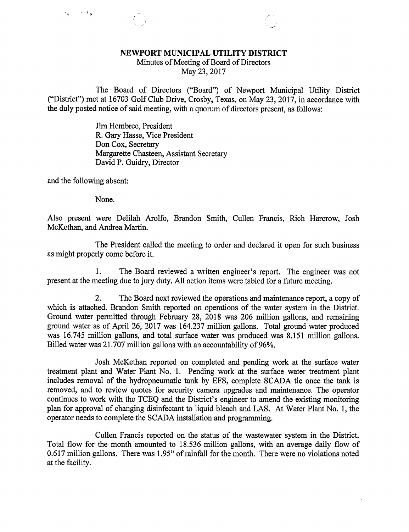## NEWPORT MUNICIPAL UTILITY DISTRICT

Minutes of Meeting of Board of Directors

May 23, 2017

The Board of Directors ("Board") of Newport Municipal Utility District ("District") met at 16703 Golf Club Drive, Crosby, Texas, on May 23, 2017, in accordance with the duly posted notice of said meeting, with a quorum of directors present, as follows:

> Jim Hembree, President R. Gary Hasse, Vice President Don Cox, Secretary Margarette Chasteen, Assistant Secretary David P. Guidry, Director

and the following absent:

 $\sim 10^{-4}$  s

None.

Also present were Delilah Arolfo, Brandon Smith, Cullen Francis, Rich Harcrow, Josh McKethan, and Andrea Martin.

The President called the meeting to order and declared it open for such business as might properly come before it.

1. The Board reviewed a written engineer's report. The engineer was not present at the meeting due to jury duty. All action items were tabled for a future meeting.

2. The Board next reviewed the operations and maintenance report, a copy of which is attached. Brandon Smith reported on operations of the water system in the District. Ground water permitted through February 28, 2018 was 206 million gallons, and remaining ground water as of April 26, 2017 was 164.237 million gallons. Total ground water produced was 16.745 million gallons, and total surface water was produced was 8.151 million gallons. Billed water was 21.707 million gallons with an accountability of 96%.

Josh McKethan reported on completed and pending work at the surface water treatment plant and Water Plant No. 1. Pending work at the surface water treatment plant includes removal of the hydropneumatic tank by EFS, complete SCADA tie once the tank is removed, and to review quotes for security camera upgrades and maintenance. The operator continues to work with the TCEQ and the District's engineer to amend the existing monitoring plan for approval of changing disinfectant to liquid bleach and LAS. At Water Plant No. 1, the operator needs to complete the SCADA installation and programming.

Cullen Francis reported on the status of the wastewater system in the District. Total flow for the month amounted to 18.536 million gallons, with an average daily flow of 0.617 million gallons. There was 1.95" of rainfall for the month. There were no violations noted at the facility.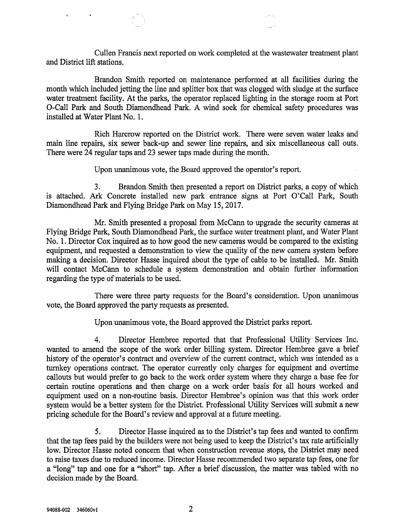Cullen Francis next reported on work completed at the wastewater treatment plant and District lift stations.

Brandon Smith reported on maintenance performed at all facilities during the month which included jetting the line and splitter box that was clogged with sludge at the surface water treatment facility. At the parks, the operator replaced lighting in the storage room at Port 0-Call Park and South Diamondhead Park. A wind sock for chemical safety procedures was installed at Water Plant No. 1.

Rich Harcrow reported on the District work. There were seven water leaks and main line repairs, six sewer back-up and sewer line repairs, and six miscellaneous call outs. There were 24 regular taps and 23 sewer taps made during the month.

Upon unanimous vote, the Board approved the operator's report.

3. Brandon Smith then presented a report on District parks, a copy of which is attached. Ark Concrete installed new park entrance signs at Port O'Call Park, South Diamondhead Park and Flying Bridge Park on May 15, 2017.

Mr. Smith presented a proposal from McCann to upgrade the security cameras at Flying Bridge Park, South Diamondhead Park, the surface water treatment plant, and Water Plant No. 1. Director Cox inquired as to how good the new cameras would be compared to the existing equipment, and requested a demonstration to view the quality of the new camera system before making a decision. Director Hasse inquired about the type of cable to be installed. Mr. Smith will contact McCann to schedule a system demonstration and obtain further information regarding the type of materials to be used.

There were three party requests for the Board's consideration. Upon unanimous vote, the Board approved the party requests as presented.

Upon unanimous vote, the Board approved the District parks report.

4. Director Hembree reported that that Professional Utility Services Inc. wanted to amend the scope of the work order billing system. Director Hembree gave a brief history of the operator's contract and overview of the current contract, which was intended as a turnkey operations contract. The operator currently only charges for equipment and overtime callouts but would prefer to go back to the work order system where they charge a base fee for certain routine operations and then charge on a work order basis for all hours worked and equipment used on a non-routine basis. Director Hembree's opinion was that this work order system would be a better system for the District. Professional Utility Services will submit a new pricing schedule for the Board's review and approval at a future meeting.

5. Director Hasse inquired as to the District's tap fees and wanted to confirm that the tap fees paid by the builders were not being used to keep the District's tax rate artificially low. Director Hasse noted concern that when construction revenue stops, the District may need to raise taxes due to reduced income. Director Hasse recommended two separate tap fees, one for a "long" tap and one for a "short" tap. After a brief discussion, the matter was tabled with no decision made by the Board.